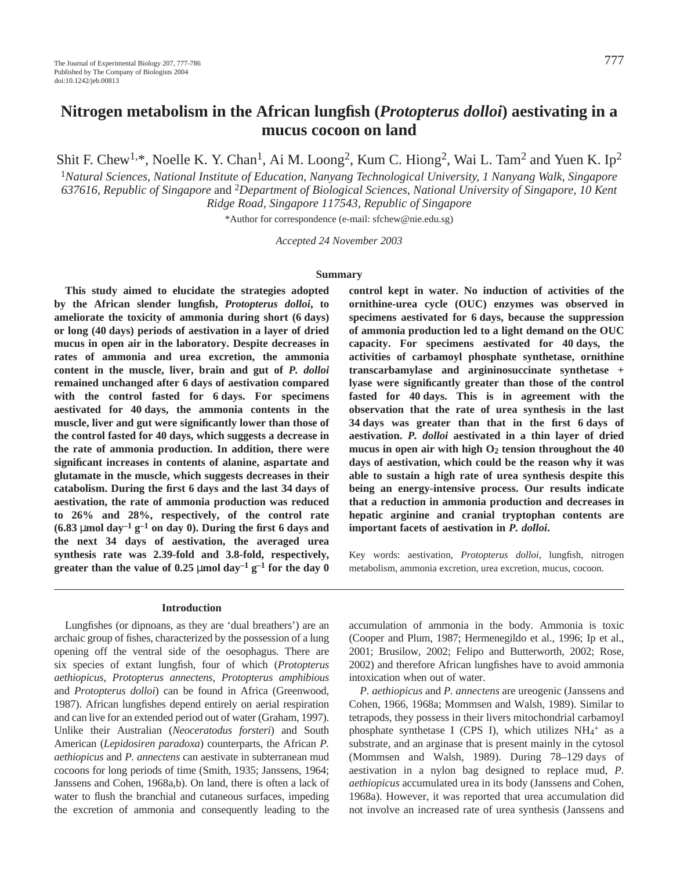# **Nitrogen metabolism in the African lungfish (***Protopterus dolloi***) aestivating in a mucus cocoon on land**

Shit F. Chew<sup>1,\*</sup>, Noelle K. Y. Chan<sup>1</sup>, Ai M. Loong<sup>2</sup>, Kum C. Hiong<sup>2</sup>, Wai L. Tam<sup>2</sup> and Yuen K. Ip<sup>2</sup>

<sup>1</sup>*Natural Sciences, National Institute of Education, Nanyang Technological University, 1 Nanyang Walk, Singapore 637616, Republic of Singapore* and 2*Department of Biological Sciences, National University of Singapore, 10 Kent Ridge Road, Singapore 117543, Republic of Singapore*

\*Author for correspondence (e-mail: sfchew@nie.edu.sg)

*Accepted 24 November 2003*

#### **Summary**

**This study aimed to elucidate the strategies adopted by the African slender lungfish,** *Protopterus dolloi***, to** ameliorate the toxicity of ammonia during short (6 days) **or long (40·days) periods of aestivation in a layer of dried mucus in open air in the laboratory. Despite decreases in rates of ammonia and urea excretion, the ammonia content in the muscle, liver, brain and gut of** *P. dolloi* **remained unchanged after 6·days of aestivation compared** with the control fasted for 6 days. For specimens aestivated for 40 days, the ammonia contents in the **muscle, liver and gut were significantly lower than those of** the control fasted for 40 days, which suggests a decrease in **the rate of ammonia production. In addition, there were significant increases in contents of alanine, aspartate and glutamate in the muscle, which suggests decreases in their catabolism. During the first 6·days and the last 34·days of aestivation, the rate of ammonia production was reduced to 26% and 28%, respectively, of the control rate**  $(6.83 \mu \text{mol day}^{-1} \text{ g}^{-1} \text{ on day 0}).$  During the first 6 days and **the next 34 days of aestivation, the averaged urea synthesis rate was 2.39-fold and 3.8-fold, respectively, greater than the value of 0.25** µmol  $day^{-1}g^{-1}$  for the day 0

#### **Introduction**

Lungfishes (or dipnoans, as they are 'dual breathers') are an archaic group of fishes, characterized by the possession of a lung opening off the ventral side of the oesophagus. There are six species of extant lungfish, four of which (*Protopterus aethiopicus*, *Protopterus annectens*, *Protopterus amphibious* and *Protopterus dolloi*) can be found in Africa (Greenwood, 1987). African lungfishes depend entirely on aerial respiration and can live for an extended period out of water (Graham, 1997). Unlike their Australian (*Neoceratodus forsteri*) and South American (*Lepidosiren paradoxa*) counterparts, the African *P. aethiopicus* and *P. annectens* can aestivate in subterranean mud cocoons for long periods of time (Smith, 1935; Janssens, 1964; Janssens and Cohen, 1968a,b). On land, there is often a lack of water to flush the branchial and cutaneous surfaces, impeding the excretion of ammonia and consequently leading to the

**control kept in water. No induction of activities of the ornithine-urea cycle (OUC) enzymes was observed in** specimens aestivated for 6 days, because the suppression **of ammonia production led to a light demand on the OUC** capacity. For specimens aestivated for 40 days, the **activities of carbamoyl phosphate synthetase, ornithine transcarbamylase and argininosuccinate synthetase + lyase were significantly greater than those of the control** fasted for 40 days. This is in agreement with the **observation that the rate of urea synthesis in the last 34·days was greater than that in the first 6·days of aestivation.** *P. dolloi* **aestivated in a thin layer of dried** mucus in open air with high  $O_2$  tension throughout the  $40$ **days of aestivation, which could be the reason why it was able to sustain a high rate of urea synthesis despite this being an energy-intensive process. Our results indicate that a reduction in ammonia production and decreases in hepatic arginine and cranial tryptophan contents are important facets of aestivation in** *P. dolloi***.**

Key words: aestivation, *Protopterus dolloi*, lungfish, nitrogen metabolism, ammonia excretion, urea excretion, mucus, cocoon.

accumulation of ammonia in the body. Ammonia is toxic (Cooper and Plum, 1987; Hermenegildo et al., 1996; Ip et al., 2001; Brusilow, 2002; Felipo and Butterworth, 2002; Rose, 2002) and therefore African lungfishes have to avoid ammonia intoxication when out of water.

*P. aethiopicus* and *P. annectens* are ureogenic (Janssens and Cohen, 1966, 1968a; Mommsen and Walsh, 1989). Similar to tetrapods, they possess in their livers mitochondrial carbamoyl phosphate synthetase I (CPS I), which utilizes  $NH_4^+$  as a substrate, and an arginase that is present mainly in the cytosol (Mommsen and Walsh, 1989). During  $78-129$  days of aestivation in a nylon bag designed to replace mud, *P. aethiopicus* accumulated urea in its body (Janssens and Cohen, 1968a). However, it was reported that urea accumulation did not involve an increased rate of urea synthesis (Janssens and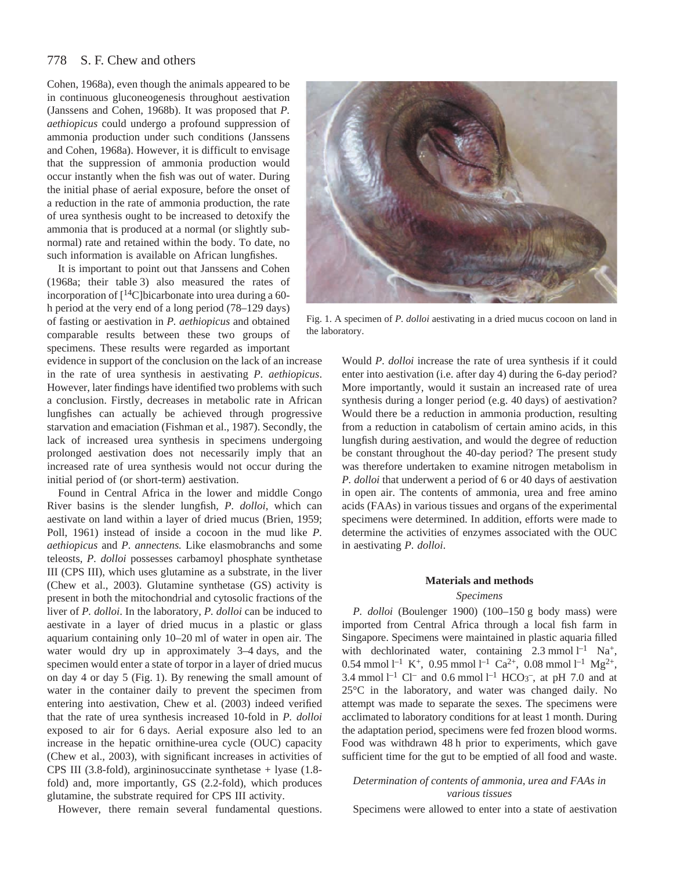Cohen, 1968a), even though the animals appeared to be in continuous gluconeogenesis throughout aestivation (Janssens and Cohen, 1968b). It was proposed that *P. aethiopicus* could undergo a profound suppression of ammonia production under such conditions (Janssens and Cohen, 1968a). However, it is difficult to envisage that the suppression of ammonia production would occur instantly when the fish was out of water. During the initial phase of aerial exposure, before the onset of a reduction in the rate of ammonia production, the rate of urea synthesis ought to be increased to detoxify the ammonia that is produced at a normal (or slightly subnormal) rate and retained within the body. To date, no such information is available on African lungfishes.

It is important to point out that Janssens and Cohen (1968a; their table 3) also measured the rates of incorporation of  $[$ <sup>14</sup>C]bicarbonate into urea during a 60h period at the very end of a long period (78–129 days) of fasting or aestivation in *P. aethiopicus* and obtained comparable results between these two groups of specimens. These results were regarded as important

evidence in support of the conclusion on the lack of an increase in the rate of urea synthesis in aestivating *P. aethiopicus*. However, later findings have identified two problems with such a conclusion. Firstly, decreases in metabolic rate in African lungfishes can actually be achieved through progressive starvation and emaciation (Fishman et al., 1987). Secondly, the lack of increased urea synthesis in specimens undergoing prolonged aestivation does not necessarily imply that an increased rate of urea synthesis would not occur during the initial period of (or short-term) aestivation.

Found in Central Africa in the lower and middle Congo River basins is the slender lungfish, *P. dolloi*, which can aestivate on land within a layer of dried mucus (Brien, 1959; Poll, 1961) instead of inside a cocoon in the mud like *P. aethiopicus* and *P. annectens.* Like elasmobranchs and some teleosts, *P. dolloi* possesses carbamoyl phosphate synthetase III (CPS III), which uses glutamine as a substrate, in the liver (Chew et al., 2003). Glutamine synthetase (GS) activity is present in both the mitochondrial and cytosolic fractions of the liver of *P. dolloi*. In the laboratory, *P. dolloi* can be induced to aestivate in a layer of dried mucus in a plastic or glass aquarium containing only 10–20 ml of water in open air. The water would dry up in approximately 3-4 days, and the specimen would enter a state of torpor in a layer of dried mucus on day 4 or day 5 (Fig. 1). By renewing the small amount of water in the container daily to prevent the specimen from entering into aestivation, Chew et al. (2003) indeed verified that the rate of urea synthesis increased 10-fold in *P. dolloi* exposed to air for 6 days. Aerial exposure also led to an increase in the hepatic ornithine-urea cycle (OUC) capacity (Chew et al., 2003), with significant increases in activities of CPS III (3.8-fold), argininosuccinate synthetase + lyase (1.8 fold) and, more importantly, GS (2.2-fold), which produces glutamine, the substrate required for CPS III activity.

However, there remain several fundamental questions.



Fig. 1. A specimen of *P. dolloi* aestivating in a dried mucus cocoon on land in the laboratory.

Would *P. dolloi* increase the rate of urea synthesis if it could enter into aestivation (i.e. after day 4) during the 6-day period? More importantly, would it sustain an increased rate of urea synthesis during a longer period (e.g. 40 days) of aestivation? Would there be a reduction in ammonia production, resulting from a reduction in catabolism of certain amino acids, in this lungfish during aestivation, and would the degree of reduction be constant throughout the 40-day period? The present study was therefore undertaken to examine nitrogen metabolism in *P. dolloi* that underwent a period of 6 or 40 days of aestivation in open air. The contents of ammonia, urea and free amino acids (FAAs) in various tissues and organs of the experimental specimens were determined. In addition, efforts were made to determine the activities of enzymes associated with the OUC in aestivating *P. dolloi*.

# **Materials and methods**

#### *Specimens*

*P. dolloi* (Boulenger 1900) (100–150 g body mass) were imported from Central Africa through a local fish farm in Singapore. Specimens were maintained in plastic aquaria filled with dechlorinated water, containing  $2.3 \text{ mmol} \, \text{l}^{-1} \text{ Na}^+$ , 0.54 mmol  $l^{-1}$  K<sup>+</sup>, 0.95 mmol  $l^{-1}$  Ca<sup>2+</sup>, 0.08 mmol  $l^{-1}$  Mg<sup>2+</sup>, 3.4 mmol  $l^{-1}$  Cl<sup>-</sup> and 0.6 mmol  $l^{-1}$  HCO<sub>3</sub><sup>-</sup>, at pH 7.0 and at 25°C in the laboratory, and water was changed daily. No attempt was made to separate the sexes. The specimens were acclimated to laboratory conditions for at least 1 month. During the adaptation period, specimens were fed frozen blood worms. Food was withdrawn 48 h prior to experiments, which gave sufficient time for the gut to be emptied of all food and waste.

# *Determination of contents of ammonia, urea and FAAs in various tissues*

Specimens were allowed to enter into a state of aestivation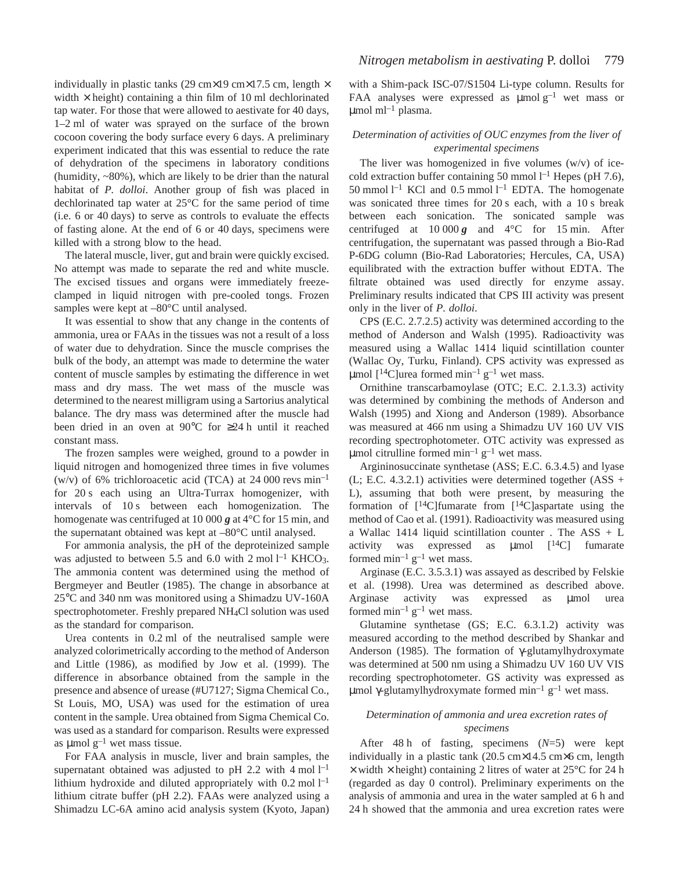individually in plastic tanks (29 cm×19 cm×17.5 cm, length  $\times$ width  $\times$  height) containing a thin film of 10 ml dechlorinated tap water. For those that were allowed to aestivate for 40 days, 1–2 ml of water was sprayed on the surface of the brown cocoon covering the body surface every 6 days. A preliminary experiment indicated that this was essential to reduce the rate of dehydration of the specimens in laboratory conditions (humidity, ~80%), which are likely to be drier than the natural habitat of *P. dolloi*. Another group of fish was placed in dechlorinated tap water at 25°C for the same period of time  $(i.e. 6 or 40 days)$  to serve as controls to evaluate the effects of fasting alone. At the end of 6 or 40 days, specimens were killed with a strong blow to the head.

The lateral muscle, liver, gut and brain were quickly excised. No attempt was made to separate the red and white muscle. The excised tissues and organs were immediately freezeclamped in liquid nitrogen with pre-cooled tongs. Frozen samples were kept at  $-80^{\circ}$ C until analysed.

It was essential to show that any change in the contents of ammonia, urea or FAAs in the tissues was not a result of a loss of water due to dehydration. Since the muscle comprises the bulk of the body, an attempt was made to determine the water content of muscle samples by estimating the difference in wet mass and dry mass. The wet mass of the muscle was determined to the nearest milligram using a Sartorius analytical balance. The dry mass was determined after the muscle had been dried in an oven at 90 $\degree$ C for ≥24 h until it reached constant mass.

The frozen samples were weighed, ground to a powder in liquid nitrogen and homogenized three times in five volumes (w/v) of 6% trichloroacetic acid (TCA) at 24 000 revs  $min^{-1}$ for 20 s each using an Ultra-Turrax homogenizer, with intervals of 10 s between each homogenization. The homogenate was centrifuged at 10 000  $g$  at 4 $\degree$ C for 15 min, and the supernatant obtained was kept at –80°C until analysed.

For ammonia analysis, the pH of the deproteinized sample was adjusted to between 5.5 and 6.0 with 2 mol  $l^{-1}$  KHCO<sub>3</sub>. The ammonia content was determined using the method of Bergmeyer and Beutler (1985). The change in absorbance at 25°C and 340 nm was monitored using a Shimadzu UV-160A spectrophotometer. Freshly prepared NH4Cl solution was used as the standard for comparison.

Urea contents in  $0.2$  ml of the neutralised sample were analyzed colorimetrically according to the method of Anderson and Little (1986), as modified by Jow et al. (1999). The difference in absorbance obtained from the sample in the presence and absence of urease (#U7127; Sigma Chemical Co., St Louis, MO, USA) was used for the estimation of urea content in the sample. Urea obtained from Sigma Chemical Co. was used as a standard for comparison. Results were expressed as  $\mu$ mol g<sup>-1</sup> wet mass tissue.

For FAA analysis in muscle, liver and brain samples, the supernatant obtained was adjusted to pH 2.2 with  $4 \text{ mol } l^{-1}$ lithium hydroxide and diluted appropriately with  $0.2$  mol  $l^{-1}$ lithium citrate buffer (pH 2.2). FAAs were analyzed using a Shimadzu LC-6A amino acid analysis system (Kyoto, Japan)

with a Shim-pack ISC-07/S1504 Li-type column. Results for FAA analyses were expressed as  $\mu$ molg<sup>-1</sup> wet mass or  $\mu$ mol ml<sup>-1</sup> plasma.

# *Determination of activities of OUC enzymes from the liver of experimental specimens*

The liver was homogenized in five volumes  $(w/v)$  of icecold extraction buffer containing 50 mmol  $l^{-1}$  Hepes (pH 7.6), 50 mmol<sup>1-1</sup> KCl and 0.5 mmol<sup>1-1</sup> EDTA. The homogenate was sonicated three times for  $20 s$  each, with a  $10 s$  break between each sonication. The sonicated sample was centrifuged at  $10\ 000\ g$  and  $4^{\circ}$ C for 15 min. After centrifugation, the supernatant was passed through a Bio-Rad P-6DG column (Bio-Rad Laboratories; Hercules, CA, USA) equilibrated with the extraction buffer without EDTA. The filtrate obtained was used directly for enzyme assay. Preliminary results indicated that CPS III activity was present only in the liver of *P. dolloi*.

CPS (E.C. 2.7.2.5) activity was determined according to the method of Anderson and Walsh (1995). Radioactivity was measured using a Wallac 1414 liquid scintillation counter (Wallac Oy, Turku, Finland). CPS activity was expressed as µmol  $[$ <sup>14</sup>C]urea formed min<sup>-1</sup> g<sup>-1</sup> wet mass.

Ornithine transcarbamoylase (OTC; E.C. 2.1.3.3) activity was determined by combining the methods of Anderson and Walsh (1995) and Xiong and Anderson (1989). Absorbance was measured at 466 nm using a Shimadzu UV 160 UV VIS recording spectrophotometer. OTC activity was expressed as µmol citrulline formed min<sup>-1</sup>  $g^{-1}$  wet mass.

Argininosuccinate synthetase (ASS; E.C. 6.3.4.5) and lyase (L; E.C. 4.3.2.1) activities were determined together  $(ASS +$ L), assuming that both were present, by measuring the formation of  $[14C]$ fumarate from  $[14C]$ aspartate using the method of Cao et al. (1991). Radioactivity was measured using a Wallac 1414 liquid scintillation counter . The  $ASS + L$ activity was expressed as  $\mu$ mol  $[14C]$  fumarate formed  $\min^{-1} g^{-1}$  wet mass.

Arginase (E.C. 3.5.3.1) was assayed as described by Felskie et al. (1998). Urea was determined as described above. Arginase activity was expressed as µmol urea formed  $\min^{-1} g^{-1}$  wet mass.

Glutamine synthetase (GS; E.C. 6.3.1.2) activity was measured according to the method described by Shankar and Anderson (1985). The formation of γ-glutamylhydroxymate was determined at 500 nm using a Shimadzu UV 160 UV VIS recording spectrophotometer. GS activity was expressed as μmol γ-glutamylhydroxymate formed min<sup>-1</sup> g<sup>-1</sup> wet mass.

# *Determination of ammonia and urea excretion rates of specimens*

After  $48 h$  of fasting, specimens  $(N=5)$  were kept individually in a plastic tank  $(20.5 \text{ cm} \times 14.5 \text{ cm} \times 6 \text{ cm}$ , length  $\times$  width  $\times$  height) containing 2 litres of water at 25 $\degree$ C for 24 h (regarded as day 0 control). Preliminary experiments on the analysis of ammonia and urea in the water sampled at 6 h and 24 h showed that the ammonia and urea excretion rates were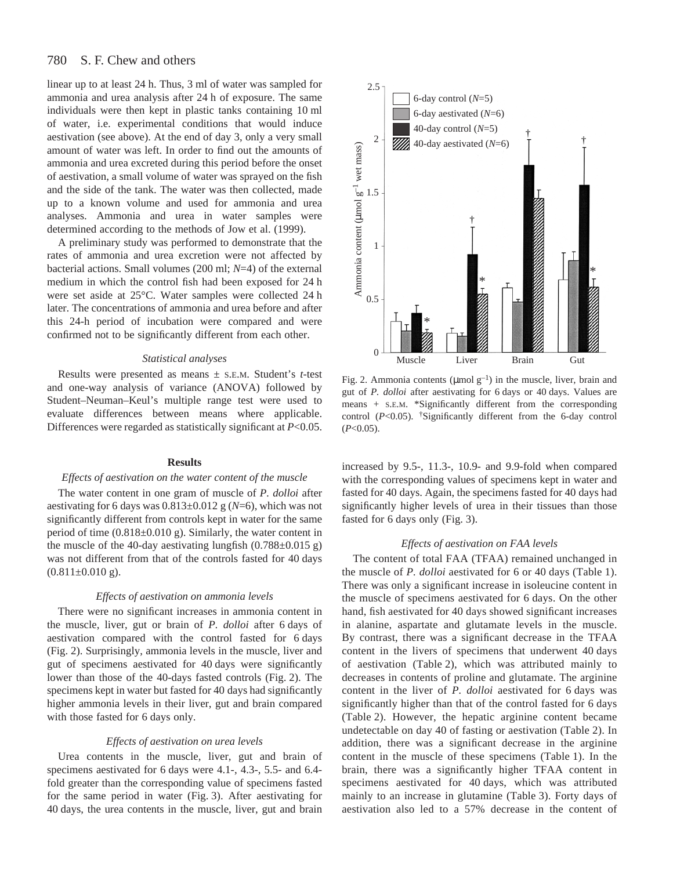linear up to at least 24 h. Thus, 3 ml of water was sampled for ammonia and urea analysis after 24 h of exposure. The same individuals were then kept in plastic tanks containing 10 ml of water, i.e. experimental conditions that would induce aestivation (see above). At the end of day 3, only a very small amount of water was left. In order to find out the amounts of ammonia and urea excreted during this period before the onset of aestivation, a small volume of water was sprayed on the fish and the side of the tank. The water was then collected, made up to a known volume and used for ammonia and urea analyses. Ammonia and urea in water samples were determined according to the methods of Jow et al. (1999).

A preliminary study was performed to demonstrate that the rates of ammonia and urea excretion were not affected by bacterial actions. Small volumes (200 ml; *N*=4) of the external medium in which the control fish had been exposed for 24 h were set aside at 25°C. Water samples were collected 24 h later. The concentrations of ammonia and urea before and after this 24-h period of incubation were compared and were confirmed not to be significantly different from each other.

#### *Statistical analyses*

Results were presented as means ± S.E.M. Student's *t*-test and one-way analysis of variance (ANOVA) followed by Student–Neuman–Keul's multiple range test were used to evaluate differences between means where applicable. Differences were regarded as statistically significant at *P*<0.05.

#### **Results**

### *Effects of aestivation on the water content of the muscle*

The water content in one gram of muscle of *P. dolloi* after aestivating for 6 days was  $0.813\pm0.012$  g ( $N=6$ ), which was not significantly different from controls kept in water for the same period of time  $(0.818\pm0.010 \text{ g})$ . Similarly, the water content in the muscle of the 40-day aestivating lungfish  $(0.788 \pm 0.015$  g) was not different from that of the controls fasted for 40 days  $(0.811\pm0.010)$ g).

#### *Effects of aestivation on ammonia levels*

There were no significant increases in ammonia content in the muscle, liver, gut or brain of *P. dolloi* after 6 days of aestivation compared with the control fasted for 6 days (Fig. 2). Surprisingly, ammonia levels in the muscle, liver and gut of specimens aestivated for 40 days were significantly lower than those of the 40-days fasted controls (Fig. 2). The specimens kept in water but fasted for 40 days had significantly higher ammonia levels in their liver, gut and brain compared with those fasted for 6 days only.

### *Effects of aestivation on urea levels*

Urea contents in the muscle, liver, gut and brain of specimens aestivated for 6 days were 4.1-, 4.3-, 5.5- and 6.4fold greater than the corresponding value of specimens fasted for the same period in water (Fig. 3). After aestivating for 40 days, the urea contents in the muscle, liver, gut and brain



Fig. 2. Ammonia contents ( $\mu$ mol g<sup>-1</sup>) in the muscle, liver, brain and gut of *P. dolloi* after aestivating for 6 days or 40 days. Values are means + S.E.M. \*Significantly different from the corresponding control (*P*<0.05). †Significantly different from the 6-day control (*P*<0.05).

increased by 9.5-, 11.3-, 10.9- and 9.9-fold when compared with the corresponding values of specimens kept in water and fasted for 40 days. Again, the specimens fasted for 40 days had significantly higher levels of urea in their tissues than those fasted for 6 days only (Fig. 3).

# *Effects of aestivation on FAA levels*

The content of total FAA (TFAA) remained unchanged in the muscle of *P. dolloi* aestivated for 6 or 40 days (Table 1). There was only a significant increase in isoleucine content in the muscle of specimens aestivated for 6 days. On the other hand, fish aestivated for 40 days showed significant increases in alanine, aspartate and glutamate levels in the muscle. By contrast, there was a significant decrease in the TFAA content in the livers of specimens that underwent 40 days of aestivation (Table 2), which was attributed mainly to decreases in contents of proline and glutamate. The arginine content in the liver of *P. dolloi* aestivated for 6 days was significantly higher than that of the control fasted for 6 days (Table 2). However, the hepatic arginine content became undetectable on day 40 of fasting or aestivation (Table 2). In addition, there was a significant decrease in the arginine content in the muscle of these specimens (Table 1). In the brain, there was a significantly higher TFAA content in specimens aestivated for 40 days, which was attributed mainly to an increase in glutamine (Table 3). Forty days of aestivation also led to a 57% decrease in the content of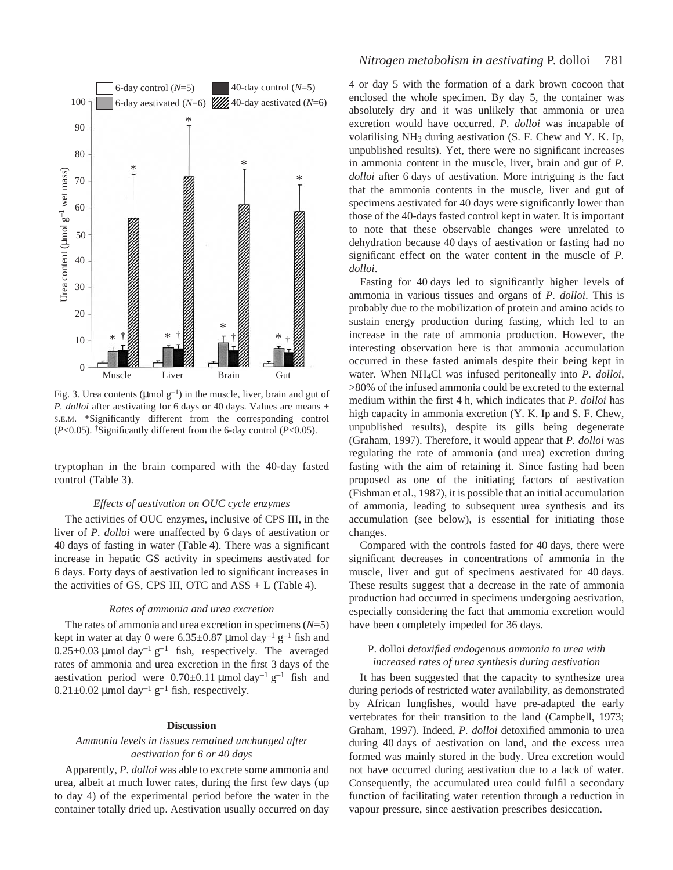

Fig. 3. Urea contents ( $\mu$ mol g<sup>-1</sup>) in the muscle, liver, brain and gut of *P. dolloi* after aestivating for 6 days or 40 days. Values are means + S.E.M. \*Significantly different from the corresponding control (*P*<0.05). †Significantly different from the 6-day control (*P*<0.05).

tryptophan in the brain compared with the 40-day fasted control (Table 3).

#### *Effects of aestivation on OUC cycle enzymes*

The activities of OUC enzymes, inclusive of CPS III, in the liver of *P. dolloi* were unaffected by 6 days of aestivation or 40 days of fasting in water (Table 4). There was a significant increase in hepatic GS activity in specimens aestivated for 6·days. Forty days of aestivation led to significant increases in the activities of GS, CPS III, OTC and  $ASS + L$  (Table 4).

### *Rates of ammonia and urea excretion*

The rates of ammonia and urea excretion in specimens (*N*=5) kept in water at day 0 were  $6.35\pm0.87$  µmol day<sup>-1</sup> g<sup>-1</sup> fish and  $0.25\pm0.03$  µmol day<sup>-1</sup> g<sup>-1</sup> fish, respectively. The averaged rates of ammonia and urea excretion in the first 3 days of the aestivation period were  $0.70\pm0.11$  µmol day<sup>-1</sup> g<sup>-1</sup> fish and  $0.21\pm0.02$  µmol day<sup>-1</sup> g<sup>-1</sup> fish, respectively.

# **Discussion**

# *Ammonia levels in tissues remained unchanged after aestivation for 6 or 40 days*

Apparently, *P. dolloi* was able to excrete some ammonia and urea, albeit at much lower rates, during the first few days (up to day 4) of the experimental period before the water in the container totally dried up. Aestivation usually occurred on day

# *Nitrogen metabolism in aestivating* P. dolloi 781

4 or day 5 with the formation of a dark brown cocoon that enclosed the whole specimen. By day 5, the container was absolutely dry and it was unlikely that ammonia or urea excretion would have occurred. *P. dolloi* was incapable of volatilising NH3 during aestivation (S. F. Chew and Y. K. Ip, unpublished results). Yet, there were no significant increases in ammonia content in the muscle, liver, brain and gut of *P. dolloi* after 6 days of aestivation. More intriguing is the fact that the ammonia contents in the muscle, liver and gut of specimens aestivated for 40 days were significantly lower than those of the 40-days fasted control kept in water. It is important to note that these observable changes were unrelated to dehydration because 40 days of aestivation or fasting had no significant effect on the water content in the muscle of *P. dolloi*.

Fasting for 40 days led to significantly higher levels of ammonia in various tissues and organs of *P. dolloi*. This is probably due to the mobilization of protein and amino acids to sustain energy production during fasting, which led to an increase in the rate of ammonia production. However, the interesting observation here is that ammonia accumulation occurred in these fasted animals despite their being kept in water. When NH4Cl was infused peritoneally into *P. dolloi*, >80% of the infused ammonia could be excreted to the external medium within the first 4 h, which indicates that *P. dolloi* has high capacity in ammonia excretion  $(Y, K, I_p)$  and S. F. Chew, unpublished results), despite its gills being degenerate (Graham, 1997). Therefore, it would appear that *P. dolloi* was regulating the rate of ammonia (and urea) excretion during fasting with the aim of retaining it. Since fasting had been proposed as one of the initiating factors of aestivation (Fishman et al., 1987), it is possible that an initial accumulation of ammonia, leading to subsequent urea synthesis and its accumulation (see below), is essential for initiating those changes.

Compared with the controls fasted for 40 days, there were significant decreases in concentrations of ammonia in the muscle, liver and gut of specimens aestivated for 40 days. These results suggest that a decrease in the rate of ammonia production had occurred in specimens undergoing aestivation, especially considering the fact that ammonia excretion would have been completely impeded for 36 days.

# P. dolloi *detoxified endogenous ammonia to urea with increased rates of urea synthesis during aestivation*

It has been suggested that the capacity to synthesize urea during periods of restricted water availability, as demonstrated by African lungfishes, would have pre-adapted the early vertebrates for their transition to the land (Campbell, 1973; Graham, 1997). Indeed, *P. dolloi* detoxified ammonia to urea during 40 days of aestivation on land, and the excess urea formed was mainly stored in the body. Urea excretion would not have occurred during aestivation due to a lack of water. Consequently, the accumulated urea could fulfil a secondary function of facilitating water retention through a reduction in vapour pressure, since aestivation prescribes desiccation.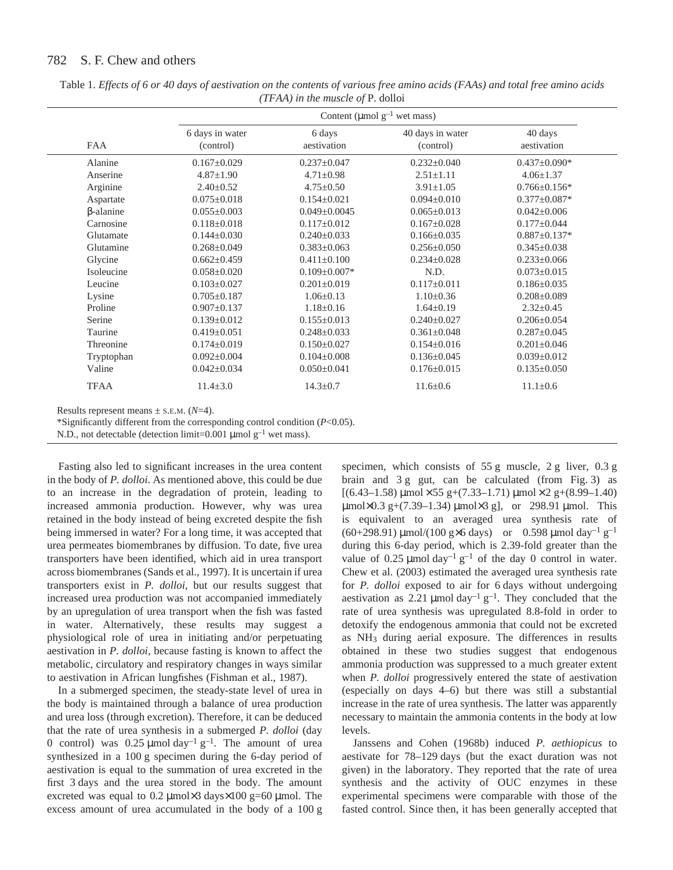|                  | Content (µmol $g^{-1}$ wet mass) |                       |                               |                        |  |
|------------------|----------------------------------|-----------------------|-------------------------------|------------------------|--|
| <b>FAA</b>       | 6 days in water<br>(control)     | 6 days<br>aestivation | 40 days in water<br>(control) | 40 days<br>aestivation |  |
| Alanine          | $0.167 \pm 0.029$                | $0.237 \pm 0.047$     | $0.232 \pm 0.040$             | $0.437 \pm 0.090*$     |  |
| Anserine         | $4.87 \pm 1.90$                  | $4.71 \pm 0.98$       | $2.51 \pm 1.11$               | $4.06 \pm 1.37$        |  |
| Arginine         | $2.40 \pm 0.52$                  | $4.75 \pm 0.50$       | $3.91 \pm 1.05$               | $0.766 \pm 0.156*$     |  |
| Aspartate        | $0.075 \pm 0.018$                | $0.154 \pm 0.021$     | $0.094 \pm 0.010$             | $0.377 \pm 0.087*$     |  |
| $\beta$ -alanine | $0.055 \pm 0.003$                | $0.049 \pm 0.0045$    | $0.065 \pm 0.013$             | $0.042 \pm 0.006$      |  |
| Carnosine        | $0.118 \pm 0.018$                | $0.117 \pm 0.012$     | $0.167 \pm 0.028$             | $0.177 \pm 0.044$      |  |
| Glutamate        | $0.144 \pm 0.030$                | $0.240 \pm 0.033$     | $0.166 \pm 0.035$             | $0.887 \pm 0.137*$     |  |
| Glutamine        | $0.268 \pm 0.049$                | $0.383 \pm 0.063$     | $0.256 \pm 0.050$             | $0.345 \pm 0.038$      |  |
| Glycine          | $0.662 \pm 0.459$                | $0.411 \pm 0.100$     | $0.234 \pm 0.028$             | $0.233 \pm 0.066$      |  |
| Isoleucine       | $0.058 \pm 0.020$                | $0.109 \pm 0.007*$    | N.D.                          | $0.073 \pm 0.015$      |  |
| Leucine          | $0.103 \pm 0.027$                | $0.201 \pm 0.019$     | $0.117 \pm 0.011$             | $0.186 \pm 0.035$      |  |
| Lysine           | $0.705 \pm 0.187$                | $1.06 \pm 0.13$       | $1.10 \pm 0.36$               | $0.208 \pm 0.089$      |  |
| Proline          | $0.907 \pm 0.137$                | $1.18 \pm 0.16$       | $1.64 \pm 0.19$               | $2.32 \pm 0.45$        |  |
| Serine           | $0.139 \pm 0.012$                | $0.155 \pm 0.013$     | $0.240 \pm 0.027$             | $0.206 \pm 0.054$      |  |
| Taurine          | $0.419 \pm 0.051$                | $0.248 \pm 0.033$     | $0.361 \pm 0.048$             | $0.287 \pm 0.045$      |  |
| Threonine        | $0.174 \pm 0.019$                | $0.150 \pm 0.027$     | $0.154 \pm 0.016$             | $0.201 \pm 0.046$      |  |
| Tryptophan       | $0.092 \pm 0.004$                | $0.104 \pm 0.008$     | $0.136 \pm 0.045$             | $0.039 \pm 0.012$      |  |
| Valine           | $0.042 \pm 0.034$                | $0.050 \pm 0.041$     | $0.176 \pm 0.015$             | $0.135 \pm 0.050$      |  |
| <b>TFAA</b>      | $11.4 \pm 3.0$                   | $14.3 \pm 0.7$        | $11.6 \pm 0.6$                | $11.1 \pm 0.6$         |  |

Table 1. *Effects of 6 or 40 days of aestivation on the contents of various free amino acids (FAAs) and total free amino acids (TFAA) in the muscle of* P. dolloi

 $present$  means  $\pm$  S.E.M. ( $N=4$ ).

\*Significantly different from the corresponding control condition (*P*<0.05).

N.D., not detectable (detection limit=0.001  $\mu$ mol g<sup>-1</sup> wet mass).

Fasting also led to significant increases in the urea content in the body of *P. dolloi*. As mentioned above, this could be due to an increase in the degradation of protein, leading to increased ammonia production. However, why was urea retained in the body instead of being excreted despite the fish being immersed in water? For a long time, it was accepted that urea permeates biomembranes by diffusion. To date, five urea transporters have been identified, which aid in urea transport across biomembranes (Sands et al., 1997). It is uncertain if urea transporters exist in *P. dolloi*, but our results suggest that increased urea production was not accompanied immediately by an upregulation of urea transport when the fish was fasted in water. Alternatively, these results may suggest a physiological role of urea in initiating and/or perpetuating aestivation in *P. dolloi*, because fasting is known to affect the metabolic, circulatory and respiratory changes in ways similar to aestivation in African lungfishes (Fishman et al., 1987).

In a submerged specimen, the steady-state level of urea in the body is maintained through a balance of urea production and urea loss (through excretion). Therefore, it can be deduced that the rate of urea synthesis in a submerged *P. dolloi* (day 0 control) was  $0.25 \mu$ mol day<sup>-1</sup> g<sup>-1</sup>. The amount of urea synthesized in a 100 g specimen during the 6-day period of aestivation is equal to the summation of urea excreted in the first 3 days and the urea stored in the body. The amount excreted was equal to 0.2  $\mu$ mol×3 days×100 g=60  $\mu$ mol. The excess amount of urea accumulated in the body of a 100 g

specimen, which consists of  $55 g$  muscle,  $2 g$  liver,  $0.3 g$ brain and  $3g$  gut, can be calculated (from Fig. 3) as  $[(6.43-1.58)\,\mu\text{mol}\times55\,\text{g}+(7.33-1.71)\,\mu\text{mol}\times2\,\text{g}+(8.99-1.40)$  $\mu$ mol×0.3 g+(7.39–1.34)  $\mu$ mol×3 g], or 298.91  $\mu$ mol. This is equivalent to an averaged urea synthesis rate of (60+298.91)  $\mu$ mol/(100 g×6 days) or 0.598  $\mu$ mol day<sup>-1</sup> g<sup>-1</sup> during this 6-day period, which is 2.39-fold greater than the value of 0.25  $\mu$ mol day<sup>-1</sup> g<sup>-1</sup> of the day 0 control in water. Chew et al. (2003) estimated the averaged urea synthesis rate for *P. dolloi* exposed to air for 6 days without undergoing aestivation as 2.21  $\mu$ mol day<sup>-1</sup> g<sup>-1</sup>. They concluded that the rate of urea synthesis was upregulated 8.8-fold in order to detoxify the endogenous ammonia that could not be excreted as NH3 during aerial exposure. The differences in results obtained in these two studies suggest that endogenous ammonia production was suppressed to a much greater extent when *P. dolloi* progressively entered the state of aestivation (especially on days 4–6) but there was still a substantial increase in the rate of urea synthesis. The latter was apparently necessary to maintain the ammonia contents in the body at low levels.

Janssens and Cohen (1968b) induced *P. aethiopicus* to aestivate for 78–129 days (but the exact duration was not given) in the laboratory. They reported that the rate of urea synthesis and the activity of OUC enzymes in these experimental specimens were comparable with those of the fasted control. Since then, it has been generally accepted that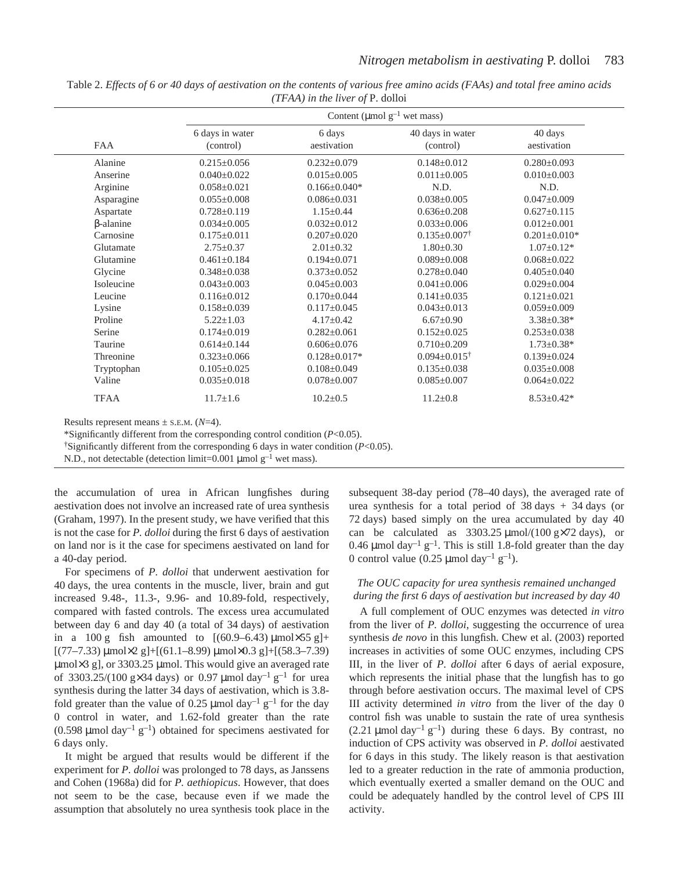|                  | Content ( $\mu$ mol g <sup>-1</sup> wet mass) |                       |                                |                        |
|------------------|-----------------------------------------------|-----------------------|--------------------------------|------------------------|
| <b>FAA</b>       | 6 days in water<br>(control)                  | 6 days<br>aestivation | 40 days in water<br>(control)  | 40 days<br>aestivation |
| Alanine          | $0.215 \pm 0.056$                             | $0.232 \pm 0.079$     | $0.148 \pm 0.012$              | $0.280 \pm 0.093$      |
| Anserine         | $0.040 \pm 0.022$                             | $0.015 \pm 0.005$     | $0.011 \pm 0.005$              | $0.010\pm0.003$        |
| Arginine         | $0.058 \pm 0.021$                             | $0.166 \pm 0.040*$    | N.D.                           | N.D.                   |
| Asparagine       | $0.055 \pm 0.008$                             | $0.086 \pm 0.031$     | $0.038 \pm 0.005$              | $0.047 \pm 0.009$      |
| Aspartate        | $0.728 \pm 0.119$                             | $1.15 \pm 0.44$       | $0.636 \pm 0.208$              | $0.627 \pm 0.115$      |
| $\beta$ -alanine | $0.034 \pm 0.005$                             | $0.032 \pm 0.012$     | $0.033 \pm 0.006$              | $0.012 \pm 0.001$      |
| Carnosine        | $0.175 \pm 0.011$                             | $0.207 \pm 0.020$     | $0.135 \pm 0.007$ <sup>†</sup> | $0.201 \pm 0.010*$     |
| Glutamate        | $2.75 \pm 0.37$                               | $2.01 \pm 0.32$       | $1.80 \pm 0.30$                | $1.07 \pm 0.12*$       |
| Glutamine        | $0.461 \pm 0.184$                             | $0.194 \pm 0.071$     | $0.089 \pm 0.008$              | $0.068 \pm 0.022$      |
| Glycine          | $0.348 \pm 0.038$                             | $0.373 \pm 0.052$     | $0.278 \pm 0.040$              | $0.405 \pm 0.040$      |
| Isoleucine       | $0.043 \pm 0.003$                             | $0.045 \pm 0.003$     | $0.041 \pm 0.006$              | $0.029 \pm 0.004$      |
| Leucine          | $0.116 \pm 0.012$                             | $0.170 \pm 0.044$     | $0.141 \pm 0.035$              | $0.121 \pm 0.021$      |
| Lysine           | $0.158 \pm 0.039$                             | $0.117 \pm 0.045$     | $0.043 \pm 0.013$              | $0.059 \pm 0.009$      |
| Proline          | $5.22 \pm 1.03$                               | $4.17 \pm 0.42$       | $6.67 \pm 0.90$                | $3.38 \pm 0.38^*$      |
| Serine           | $0.174 \pm 0.019$                             | $0.282 \pm 0.061$     | $0.152 \pm 0.025$              | $0.253 \pm 0.038$      |
| Taurine          | $0.614 \pm 0.144$                             | $0.606 \pm 0.076$     | $0.710 \pm 0.209$              | $1.73 \pm 0.38*$       |
| Threonine        | $0.323 \pm 0.066$                             | $0.128 \pm 0.017*$    | $0.094 \pm 0.015^{\dagger}$    | $0.139 \pm 0.024$      |
| Tryptophan       | $0.105 \pm 0.025$                             | $0.108 \pm 0.049$     | $0.135 \pm 0.038$              | $0.035 \pm 0.008$      |
| Valine           | $0.035 \pm 0.018$                             | $0.078 \pm 0.007$     | $0.085 \pm 0.007$              | $0.064 \pm 0.022$      |
| <b>TFAA</b>      | $11.7 \pm 1.6$                                | $10.2 \pm 0.5$        | $11.2 \pm 0.8$                 | $8.53 \pm 0.42*$       |

Table 2. *Effects of 6 or 40 days of aestivation on the contents of various free amino acids (FAAs) and total free amino acids (TFAA) in the liver of* P. dolloi

Results represent means  $\pm$  s.E.M. ( $N=4$ ).

\*Significantly different from the corresponding control condition (*P*<0.05).

<sup> $\dagger$ </sup>Significantly different from the corresponding 6 days in water condition ( $P$ <0.05).

N.D., not detectable (detection limit=0.001  $\mu$ mol g<sup>-1</sup> wet mass).

the accumulation of urea in African lungfishes during aestivation does not involve an increased rate of urea synthesis (Graham, 1997). In the present study, we have verified that this is not the case for *P. dolloi* during the first 6 days of aestivation on land nor is it the case for specimens aestivated on land for a 40-day period.

For specimens of *P. dolloi* that underwent aestivation for 40 days, the urea contents in the muscle, liver, brain and gut increased 9.48-, 11.3-, 9.96- and 10.89-fold, respectively, compared with fasted controls. The excess urea accumulated between day 6 and day 40 (a total of 34 days) of aestivation in a 100 g fish amounted to  $[(60.9-6.43)\,\mu\text{mol}\times55\,\text{g}]+$  $[(77–7.33) \mu \text{mol} \times 2 \text{ g}]+[(61.1–8.99) \mu \text{mol} \times 0.3 \text{ g}]+[(58.3–7.39)$  $\mu$ mol $\times$ 3 g], or 3303.25  $\mu$ mol. This would give an averaged rate of 3303.25/(100 g $\times$ 34 days) or 0.97 µmol day<sup>-1</sup> g<sup>-1</sup> for urea synthesis during the latter 34 days of aestivation, which is 3.8fold greater than the value of 0.25  $\mu$ mol day<sup>-1</sup> g<sup>-1</sup> for the day 0 control in water, and 1.62-fold greater than the rate  $(0.598 \mu \text{mol day}^{-1} \text{ g}^{-1})$  obtained for specimens aestivated for 6 days only.

It might be argued that results would be different if the experiment for *P. dolloi* was prolonged to 78 days, as Janssens and Cohen (1968a) did for *P. aethiopicus*. However, that does not seem to be the case, because even if we made the assumption that absolutely no urea synthesis took place in the subsequent 38-day period (78–40 days), the averaged rate of urea synthesis for a total period of  $38 \text{ days} + 34 \text{ days}$  (or 72 days) based simply on the urea accumulated by day 40 can be calculated as  $3303.25 \mu \text{mol}/(100 \text{ g} \times 72 \text{ days})$ , or 0.46 µmol day<sup>-1</sup> g<sup>-1</sup>. This is still 1.8-fold greater than the day 0 control value (0.25  $\mu$ mol day<sup>-1</sup> g<sup>-1</sup>).

# *The OUC capacity for urea synthesis remained unchanged during the first 6·days of aestivation but increased by day 40*

A full complement of OUC enzymes was detected *in vitro* from the liver of *P. dolloi*, suggesting the occurrence of urea synthesis *de novo* in this lungfish. Chew et al. (2003) reported increases in activities of some OUC enzymes, including CPS III, in the liver of *P. dolloi* after 6 days of aerial exposure, which represents the initial phase that the lungfish has to go through before aestivation occurs. The maximal level of CPS III activity determined *in vitro* from the liver of the day 0 control fish was unable to sustain the rate of urea synthesis (2.21  $\mu$ mol day<sup>-1</sup> g<sup>-1</sup>) during these 6 days. By contrast, no induction of CPS activity was observed in *P. dolloi* aestivated for 6 days in this study. The likely reason is that aestivation led to a greater reduction in the rate of ammonia production, which eventually exerted a smaller demand on the OUC and could be adequately handled by the control level of CPS III activity.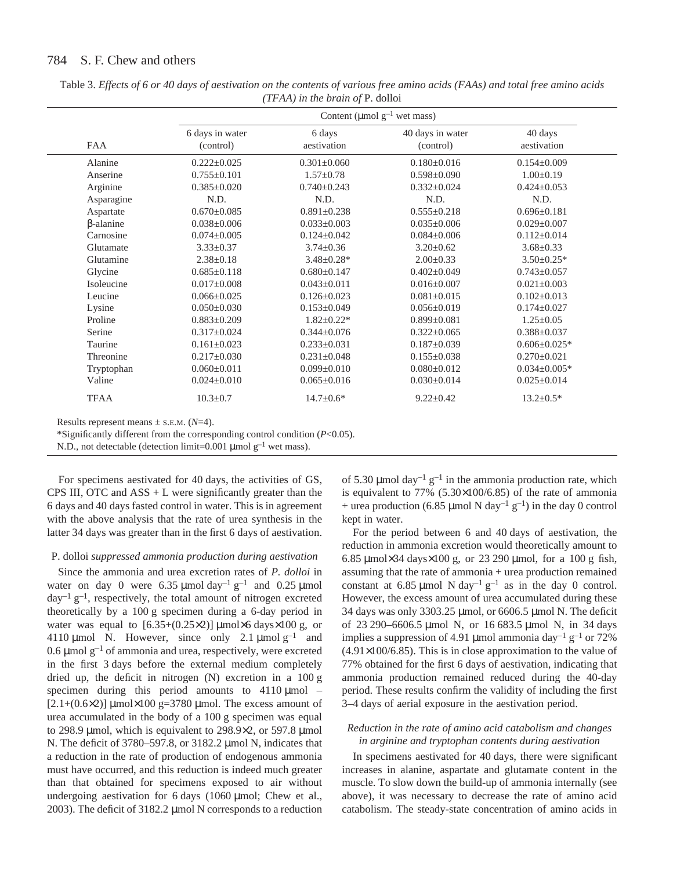|                  | Content (µmol $g^{-1}$ wet mass) |                       |                               |                        |  |
|------------------|----------------------------------|-----------------------|-------------------------------|------------------------|--|
| <b>FAA</b>       | 6 days in water<br>(control)     | 6 days<br>aestivation | 40 days in water<br>(control) | 40 days<br>aestivation |  |
| Alanine          | $0.222 \pm 0.025$                | $0.301 \pm 0.060$     | $0.180 \pm 0.016$             | $0.154 \pm 0.009$      |  |
| Anserine         | $0.755 \pm 0.101$                | $1.57 \pm 0.78$       | $0.598 \pm 0.090$             | $1.00 \pm 0.19$        |  |
| Arginine         | $0.385 \pm 0.020$                | $0.740 \pm 0.243$     | $0.332 \pm 0.024$             | $0.424 \pm 0.053$      |  |
| Asparagine       | N.D.                             | N.D.                  | N.D.                          | N.D.                   |  |
| Aspartate        | $0.670 \pm 0.085$                | $0.891 \pm 0.238$     | $0.555 \pm 0.218$             | $0.696 \pm 0.181$      |  |
| $\beta$ -alanine | $0.038 \pm 0.006$                | $0.033 \pm 0.003$     | $0.035 \pm 0.006$             | $0.029 \pm 0.007$      |  |
| Carnosine        | $0.074 \pm 0.005$                | $0.124 \pm 0.042$     | $0.084 \pm 0.006$             | $0.112 \pm 0.014$      |  |
| Glutamate        | $3.33 \pm 0.37$                  | $3.74 \pm 0.36$       | $3.20 \pm 0.62$               | $3.68 \pm 0.33$        |  |
| Glutamine        | $2.38 \pm 0.18$                  | $3.48 \pm 0.28$ *     | $2.00 \pm 0.33$               | $3.50 \pm 0.25*$       |  |
| Glycine          | $0.685 \pm 0.118$                | $0.680 \pm 0.147$     | $0.402 \pm 0.049$             | $0.743 \pm 0.057$      |  |
| Isoleucine       | $0.017 \pm 0.008$                | $0.043 \pm 0.011$     | $0.016 \pm 0.007$             | $0.021 \pm 0.003$      |  |
| Leucine          | $0.066 \pm 0.025$                | $0.126 \pm 0.023$     | $0.081 \pm 0.015$             | $0.102 \pm 0.013$      |  |
| Lysine           | $0.050 \pm 0.030$                | $0.153 \pm 0.049$     | $0.056 \pm 0.019$             | $0.174 \pm 0.027$      |  |
| Proline          | $0.883 \pm 0.209$                | $1.82 \pm 0.22*$      | $0.899 \pm 0.081$             | $1.25 \pm 0.05$        |  |
| Serine           | $0.317 \pm 0.024$                | $0.344 \pm 0.076$     | $0.322 \pm 0.065$             | $0.388 \pm 0.037$      |  |
| Taurine          | $0.161 \pm 0.023$                | $0.233 \pm 0.031$     | $0.187 \pm 0.039$             | $0.606 \pm 0.025*$     |  |
| Threonine        | $0.217 \pm 0.030$                | $0.231 \pm 0.048$     | $0.155 \pm 0.038$             | $0.270 \pm 0.021$      |  |
| Tryptophan       | $0.060 \pm 0.011$                | $0.099 \pm 0.010$     | $0.080 \pm 0.012$             | $0.034 \pm 0.005*$     |  |
| Valine           | $0.024 \pm 0.010$                | $0.065 \pm 0.016$     | $0.030 \pm 0.014$             | $0.025 \pm 0.014$      |  |
| <b>TFAA</b>      | $10.3 \pm 0.7$                   | $14.7 \pm 0.6*$       | $9.22 \pm 0.42$               | $13.2 \pm 0.5*$        |  |

Table 3. *Effects of 6 or 40 days of aestivation on the contents of various free amino acids (FAAs) and total free amino acids (TFAA) in the brain of* P. dolloi

Results represent means  $\pm$  s.E.M. ( $N=4$ ).

\*Significantly different from the corresponding control condition (*P*<0.05).

N.D., not detectable (detection limit=0.001  $\mu$ mol  $g^{-1}$  wet mass).

For specimens aestivated for 40 days, the activities of GS, CPS III, OTC and  $ASS + L$  were significantly greater than the 6·days and 40·days fasted control in water. This is in agreement with the above analysis that the rate of urea synthesis in the latter 34 days was greater than in the first 6 days of aestivation.

### P. dolloi *suppressed ammonia production during aestivation*

Since the ammonia and urea excretion rates of *P. dolloi* in water on day 0 were 6.35  $\mu$ mol day<sup>-1</sup> g<sup>-1</sup> and 0.25  $\mu$ mol  $day^{-1}g^{-1}$ , respectively, the total amount of nitrogen excreted theoretically by a 100 g specimen during a 6-day period in water was equal to  $[6.35+(0.25\times2)] \mu$ mol×6 days×100 g, or 4110 µmol N. However, since only 2.1 µmol  $g^{-1}$  and 0.6  $\mu$ mol g<sup>-1</sup> of ammonia and urea, respectively, were excreted in the first 3 days before the external medium completely dried up, the deficit in nitrogen  $(N)$  excretion in a 100 g specimen during this period amounts to  $4110 \mu$ mol –  $[2.1+(0.6\times2)]$  µmol×100 g=3780 µmol. The excess amount of urea accumulated in the body of a 100 g specimen was equal to 298.9 µmol, which is equivalent to 298.9 $\times$ 2, or 597.8 µmol N. The deficit of  $3780-597.8$ , or  $3182.2 \mu$ mol N, indicates that a reduction in the rate of production of endogenous ammonia must have occurred, and this reduction is indeed much greater than that obtained for specimens exposed to air without undergoing aestivation for  $6$  days (1060  $\mu$ mol; Chew et al., 2003). The deficit of 3182.2  $\mu$ mol N corresponds to a reduction of 5.30  $\mu$ mol day<sup>-1</sup> g<sup>-1</sup> in the ammonia production rate, which is equivalent to 77% (5.30×100/6.85) of the rate of ammonia + urea production (6.85 µmol N day<sup>-1</sup> g<sup>-1</sup>) in the day 0 control kept in water.

For the period between 6 and 40 days of aestivation, the reduction in ammonia excretion would theoretically amount to 6.85  $\mu$ mol×34 days×100 g, or 23 290  $\mu$ mol, for a 100 g fish, assuming that the rate of ammonia + urea production remained constant at 6.85 µmol N day<sup>-1</sup> g<sup>-1</sup> as in the day 0 control. However, the excess amount of urea accumulated during these 34 days was only 3303.25  $\mu$ mol, or 6606.5  $\mu$ mol N. The deficit of 23 290–6606.5 µmol N, or 16 683.5 µmol N, in 34 days implies a suppression of 4.91 µmol ammonia day<sup>-1</sup> g<sup>-1</sup> or 72% (4.91×100/6.85). This is in close approximation to the value of 77% obtained for the first 6 days of aestivation, indicating that ammonia production remained reduced during the 40-day period. These results confirm the validity of including the first 3–4 days of aerial exposure in the aestivation period.

# *Reduction in the rate of amino acid catabolism and changes in arginine and tryptophan contents during aestivation*

In specimens aestivated for 40 days, there were significant increases in alanine, aspartate and glutamate content in the muscle. To slow down the build-up of ammonia internally (see above), it was necessary to decrease the rate of amino acid catabolism. The steady-state concentration of amino acids in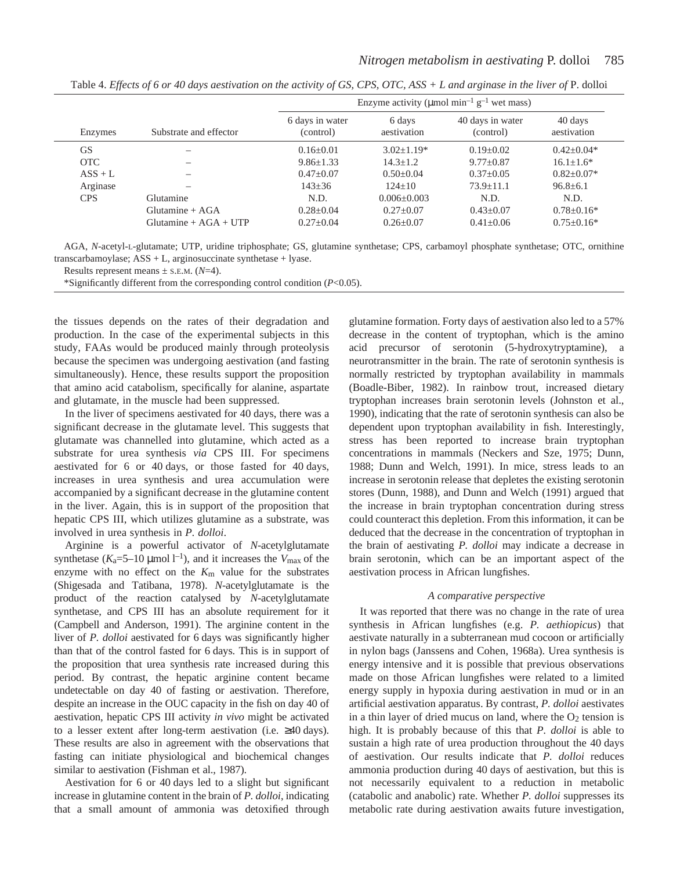|            |                                              | Enzyme activity ( $\mu$ mol min <sup>-1</sup> g <sup>-1</sup> wet mass) |                                |                               |                                      |
|------------|----------------------------------------------|-------------------------------------------------------------------------|--------------------------------|-------------------------------|--------------------------------------|
| Enzymes    | Substrate and effector                       | 6 days in water<br>(control)                                            | 6 days<br>aestivation          | 40 days in water<br>(control) | 40 days<br>aestivation               |
| <b>GS</b>  |                                              | $0.16 + 0.01$                                                           | $3.02+1.19*$                   | $0.19 + 0.02$                 | $0.42 + 0.04*$                       |
| <b>OTC</b> |                                              | $9.86 \pm 1.33$                                                         | $14.3 + 1.2$                   | $9.77+0.87$                   | $16.1 \pm 1.6^*$                     |
| $ASS + L$  |                                              | $0.47+0.07$                                                             | $0.50+0.04$                    | $0.37+0.05$                   | $0.82 + 0.07*$                       |
| Arginase   |                                              | $143 \pm 36$                                                            | $124+10$                       | $73.9 + 11.1$                 | $96.8 \pm 6.1$                       |
| <b>CPS</b> | Glutamine                                    | N.D.                                                                    | $0.006 + 0.003$                | N.D.                          | N.D.                                 |
|            | $Glutamine + AGA$<br>$Glutamine + AGA + UTP$ | $0.28 \pm 0.04$<br>$0.27+0.04$                                          | $0.27 + 0.07$<br>$0.26 + 0.07$ | $0.43+0.07$<br>$0.41 + 0.06$  | $0.78 \pm 0.16*$<br>$0.75 \pm 0.16*$ |

Table 4. *Effects of 6 or 40 days aestivation on the activity of GS, CPS, OTC, ASS + L and arginase in the liver of P. dolloi* 

AGA, *N*-acetyl-L-glutamate; UTP, uridine triphosphate; GS, glutamine synthetase; CPS, carbamoyl phosphate synthetase; OTC, ornithine transcarbamoylase; ASS + L, arginosuccinate synthetase + lyase.

Results represent means  $\pm$  s.E.M. ( $N=4$ ).

\*Significantly different from the corresponding control condition (*P*<0.05).

the tissues depends on the rates of their degradation and production. In the case of the experimental subjects in this study, FAAs would be produced mainly through proteolysis because the specimen was undergoing aestivation (and fasting simultaneously). Hence, these results support the proposition that amino acid catabolism, specifically for alanine, aspartate and glutamate, in the muscle had been suppressed.

In the liver of specimens aestivated for 40 days, there was a significant decrease in the glutamate level. This suggests that glutamate was channelled into glutamine, which acted as a substrate for urea synthesis *via* CPS III. For specimens aestivated for 6 or 40 days, or those fasted for 40 days, increases in urea synthesis and urea accumulation were accompanied by a significant decrease in the glutamine content in the liver. Again, this is in support of the proposition that hepatic CPS III, which utilizes glutamine as a substrate, was involved in urea synthesis in *P. dolloi*.

Arginine is a powerful activator of *N*-acetylglutamate synthetase  $(K_a=5-10 \text{ }\mu\text{mol}\text{ }1^{-1})$ , and it increases the  $V_{\text{max}}$  of the enzyme with no effect on the *K*m value for the substrates (Shigesada and Tatibana, 1978). *N*-acetylglutamate is the product of the reaction catalysed by *N*-acetylglutamate synthetase, and CPS III has an absolute requirement for it (Campbell and Anderson, 1991). The arginine content in the liver of *P. dolloi* aestivated for 6 days was significantly higher than that of the control fasted for 6 days. This is in support of the proposition that urea synthesis rate increased during this period. By contrast, the hepatic arginine content became undetectable on day 40 of fasting or aestivation. Therefore, despite an increase in the OUC capacity in the fish on day 40 of aestivation, hepatic CPS III activity *in vivo* might be activated to a lesser extent after long-term aestivation (i.e.  $\geq 40 \text{ days}$ ). These results are also in agreement with the observations that fasting can initiate physiological and biochemical changes similar to aestivation (Fishman et al., 1987).

Aestivation for 6 or 40 days led to a slight but significant increase in glutamine content in the brain of *P. dolloi*, indicating that a small amount of ammonia was detoxified through glutamine formation. Forty days of aestivation also led to a 57% decrease in the content of tryptophan, which is the amino acid precursor of serotonin (5-hydroxytryptamine), a neurotransmitter in the brain. The rate of serotonin synthesis is normally restricted by tryptophan availability in mammals (Boadle-Biber, 1982). In rainbow trout, increased dietary tryptophan increases brain serotonin levels (Johnston et al., 1990), indicating that the rate of serotonin synthesis can also be dependent upon tryptophan availability in fish. Interestingly, stress has been reported to increase brain tryptophan concentrations in mammals (Neckers and Sze, 1975; Dunn, 1988; Dunn and Welch, 1991). In mice, stress leads to an increase in serotonin release that depletes the existing serotonin stores (Dunn, 1988), and Dunn and Welch (1991) argued that the increase in brain tryptophan concentration during stress could counteract this depletion. From this information, it can be deduced that the decrease in the concentration of tryptophan in the brain of aestivating *P. dolloi* may indicate a decrease in brain serotonin, which can be an important aspect of the aestivation process in African lungfishes.

### *A comparative perspective*

It was reported that there was no change in the rate of urea synthesis in African lungfishes (e.g. *P. aethiopicus*) that aestivate naturally in a subterranean mud cocoon or artificially in nylon bags (Janssens and Cohen, 1968a). Urea synthesis is energy intensive and it is possible that previous observations made on those African lungfishes were related to a limited energy supply in hypoxia during aestivation in mud or in an artificial aestivation apparatus. By contrast, *P. dolloi* aestivates in a thin layer of dried mucus on land, where the  $O_2$  tension is high. It is probably because of this that *P. dolloi* is able to sustain a high rate of urea production throughout the 40 days of aestivation. Our results indicate that *P. dolloi* reduces ammonia production during 40 days of aestivation, but this is not necessarily equivalent to a reduction in metabolic (catabolic and anabolic) rate. Whether *P. dolloi* suppresses its metabolic rate during aestivation awaits future investigation,